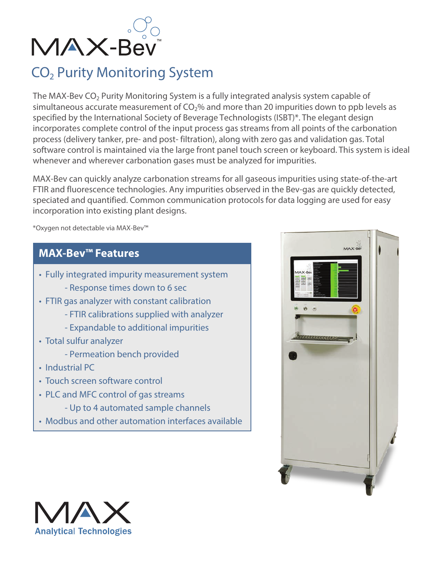

# CO<sub>2</sub> Purity Monitoring System

The MAX-Bev  $CO<sub>2</sub>$  Purity Monitoring System is a fully integrated analysis system capable of simultaneous accurate measurement of  $CO<sub>2</sub>$ % and more than 20 impurities down to ppb levels as specified by the International Society of Beverage Technologists (ISBT)\*. The elegant design incorporates complete control of the input process gas streams from all points of the carbonation process (delivery tanker, pre- and post- filtration), along with zero gas and validation gas. Total software control is maintained via the large front panel touch screen or keyboard. This system is ideal whenever and wherever carbonation gases must be analyzed for impurities.

MAX-Bev can quickly analyze carbonation streams for all gaseous impurities using state-of-the-art FTIR and fluorescence technologies. Any impurities observed in the Bev-gas are quickly detected, speciated and quantified. Common communication protocols for data logging are used for easy incorporation into existing plant designs.

\*Oxygen not detectable via MAX-Bev™

# **MAX-Bev™ Features**

- Fully integrated impurity measurement system
	- Response times down to 6 sec
- FTIR gas analyzer with constant calibration
	- FTIR calibrations supplied with analyzer
	- Expandable to additional impurities
- Total sulfur analyzer
	- Permeation bench provided
- Industrial PC
- Touch screen software control
- PLC and MFC control of gas streams
	- Up to 4 automated sample channels
- Modbus and other automation interfaces available